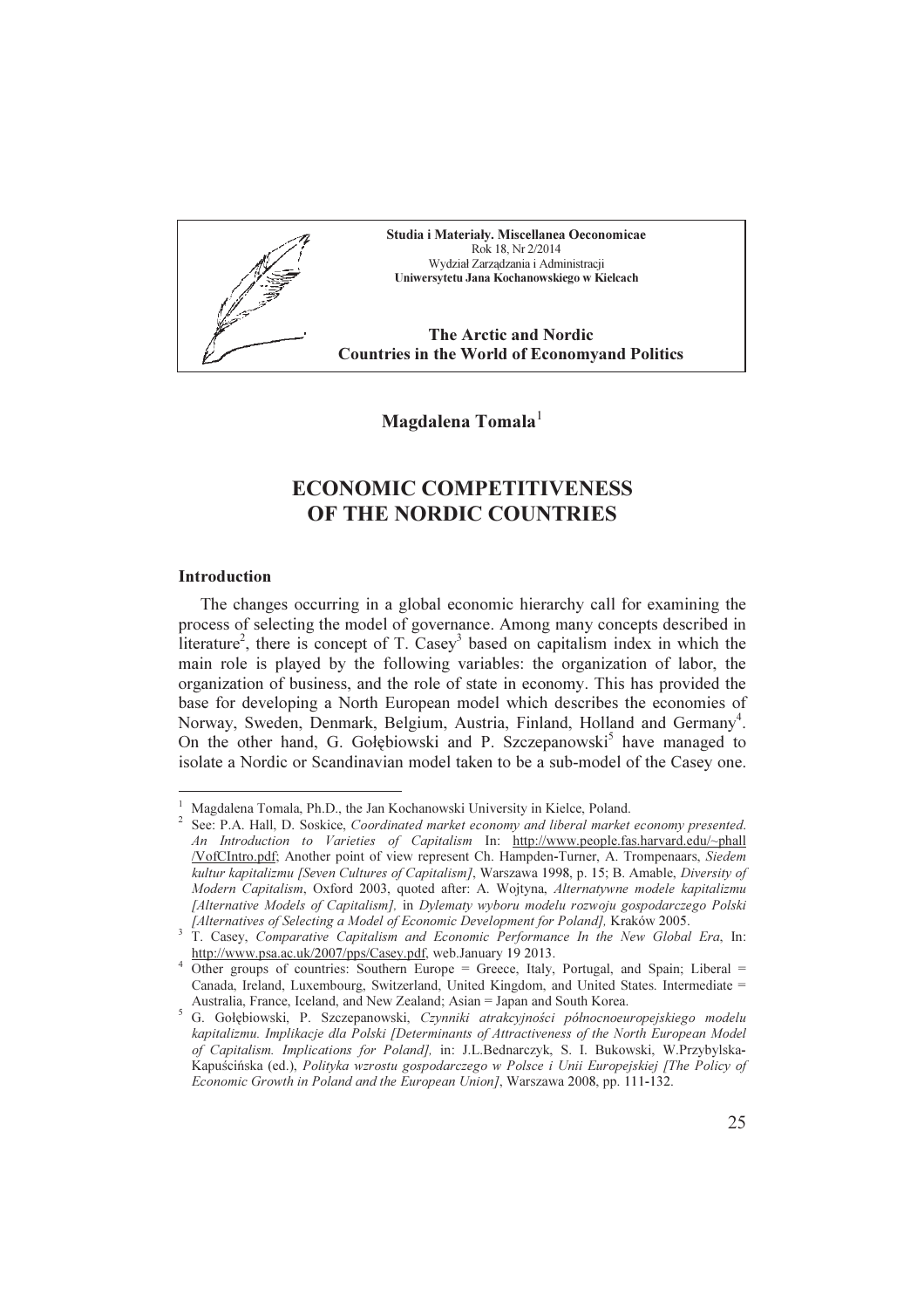Studia i Materiały. Miscellanea Oeconomicae Rok 18, Nr 2/2014 Wydział Zarządzania i Administracji Uniwersytetu Jana Kochanowskiego w Kielcach

The Arctic and Nordic Countries in the World of Economyand Politics

Magdalena Tomala<sup>1</sup>

# ECONOMIC COMPETITIVENESS OF THE NORDIC COUNTRIES

#### Introduction

 $\overline{a}$ 

The changes occurring in a global economic hierarchy call for examining the process of selecting the model of governance. Among many concepts described in literature<sup>2</sup>, there is concept of T. Casey<sup>3</sup> based on capitalism index in which the main role is played by the following variables: the organization of labor, the organization of business, and the role of state in economy. This has provided the base for developing a North European model which describes the economies of Norway, Sweden, Denmark, Belgium, Austria, Finland, Holland and Germany<sup>4</sup>. On the other hand, G. Gołębiowski and P. Szczepanowski<sup>5</sup> have managed to isolate a Nordic or Scandinavian model taken to be a sub-model of the Casey one.

<sup>1</sup> Magdalena Tomala, Ph.D., the Jan Kochanowski University in Kielce, Poland.

<sup>&</sup>lt;sup>2</sup> See: P.A. Hall, D. Soskice, Coordinated market economy and liberal market economy presented. An Introduction to Varieties of Capitalism In: http://www.people.fas.harvard.edu/~phall /VofCIntro.pdf; Another point of view represent Ch. Hampden-Turner, A. Trompenaars, Siedem kultur kapitalizmu [Seven Cultures of Capitalism], Warszawa 1998, p. 15; B. Amable, Diversity of Modern Capitalism, Oxford 2003, quoted after: A. Wojtyna, Alternatywne modele kapitalizmu [Alternative Models of Capitalism], in Dylematy wyboru modelu rozwoju gospodarczego Polski

<sup>[</sup>Alternatives of Selecting a Model of Economic Development for Poland], Kraków 2005. 3 T. Casey, Comparative Capitalism and Economic Performance In the New Global Era, In: http://www.psa.ac.uk/2007/pps/Casey.pdf, web.January 19 2013.

<sup>&</sup>lt;sup>4</sup> Other groups of countries: Southern Europe = Greece, Italy, Portugal, and Spain; Liberal = Canada, Ireland, Luxembourg, Switzerland, United Kingdom, and United States. Intermediate = Australia, France, Iceland, and New Zealand; Asian = Japan and South Korea.

<sup>5</sup> G. Gołębiowski, P. Szczepanowski, Czynniki atrakcyjności północnoeuropejskiego modelu kapitalizmu. Implikacje dla Polski [Determinants of Attractiveness of the North European Model of Capitalism. Implications for Poland], in: J.L.Bednarczyk, S. I. Bukowski, W.Przybylska-Kapuścińska (ed.), Polityka wzrostu gospodarczego w Polsce i Unii Europejskiej [The Policy of Economic Growth in Poland and the European Union], Warszawa 2008, pp. 111-132.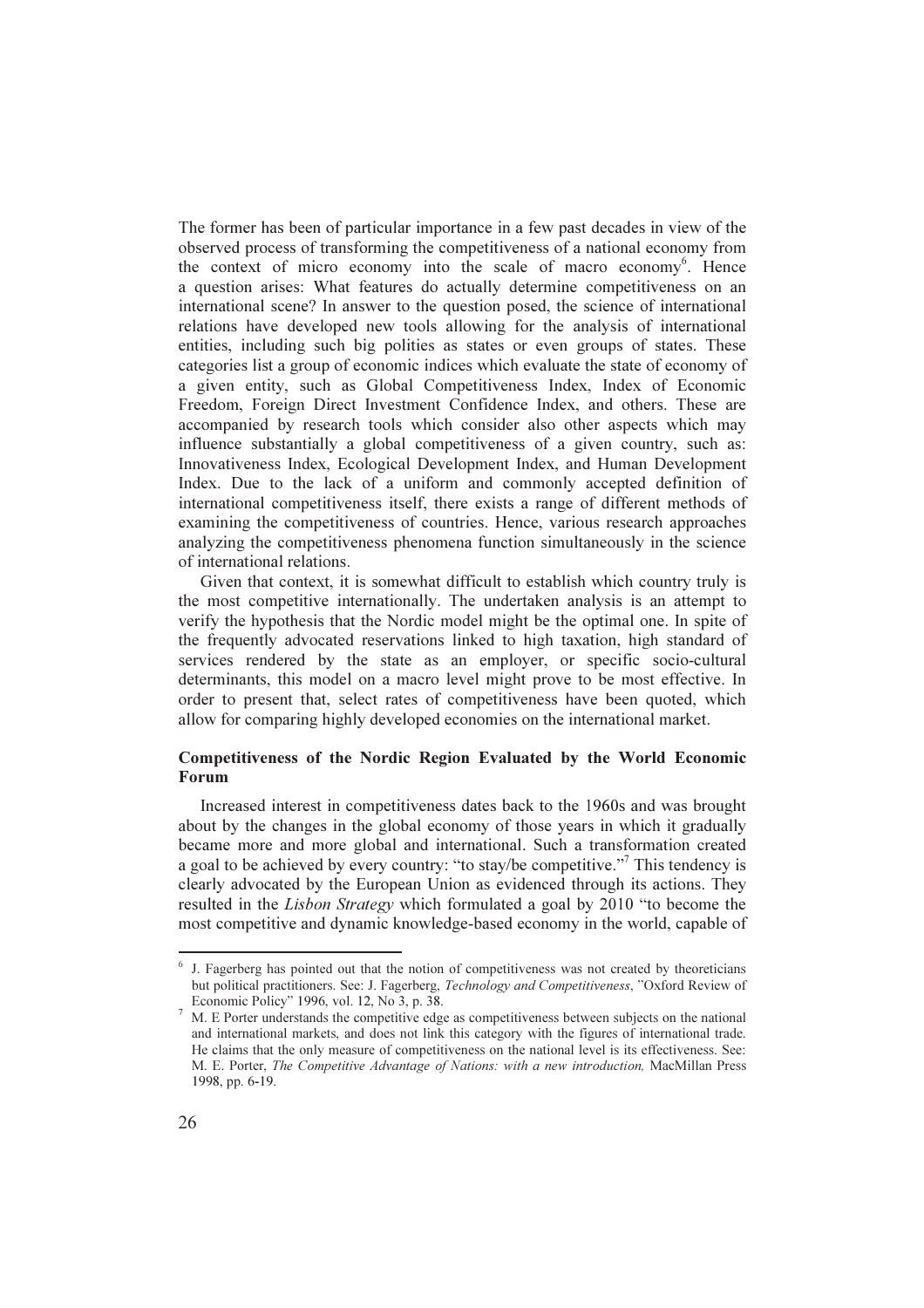The former has been of particular importance in a few past decades in view of the observed process of transforming the competitiveness of a national economy from the context of micro economy into the scale of macro economy<sup>6</sup>. Hence a question arises: What features do actually determine competitiveness on an international scene? In answer to the question posed, the science of international relations have developed new tools allowing for the analysis of international entities, including such big polities as states or even groups of states. These categories list a group of economic indices which evaluate the state of economy of a given entity, such as Global Competitiveness Index, Index of Economic Freedom, Foreign Direct Investment Confidence Index, and others. These are accompanied by research tools which consider also other aspects which may influence substantially a global competitiveness of a given country, such as: Innovativeness Index, Ecological Development Index, and Human Development Index. Due to the lack of a uniform and commonly accepted definition of international competitiveness itself, there exists a range of different methods of examining the competitiveness of countries. Hence, various research approaches analyzing the competitiveness phenomena function simultaneously in the science of international relations.

Given that context, it is somewhat difficult to establish which country truly is the most competitive internationally. The undertaken analysis is an attempt to verify the hypothesis that the Nordic model might be the optimal one. In spite of the frequently advocated reservations linked to high taxation, high standard of services rendered by the state as an employer, or specific socio-cultural determinants, this model on a macro level might prove to be most effective. In order to present that, select rates of competitiveness have been quoted, which allow for comparing highly developed economies on the international market.

## Competitiveness of the Nordic Region Evaluated by the World Economic Forum

Increased interest in competitiveness dates back to the 1960s and was brought about by the changes in the global economy of those years in which it gradually became more and more global and international. Such a transformation created a goal to be achieved by every country: "to stay/be competitive."<sup>7</sup> This tendency is clearly advocated by the European Union as evidenced through its actions. They resulted in the Lisbon Strategy which formulated a goal by 2010 "to become the most competitive and dynamic knowledge-based economy in the world, capable of

<sup>&</sup>lt;sup>6</sup> J. Fagerberg has pointed out that the notion of competitiveness was not created by theoreticians but political practitioners. See: J. Fagerberg, Technology and Competitiveness, "Oxford Review of Economic Policy" 1996, vol. 12, No 3, p. 38.

<sup>&</sup>lt;sup>7</sup> M. E Porter understands the competitive edge as competitiveness between subjects on the national and international markets, and does not link this category with the figures of international trade. He claims that the only measure of competitiveness on the national level is its effectiveness. See: M. E. Porter, The Competitive Advantage of Nations: with a new introduction, MacMillan Press 1998, pp. 6-19.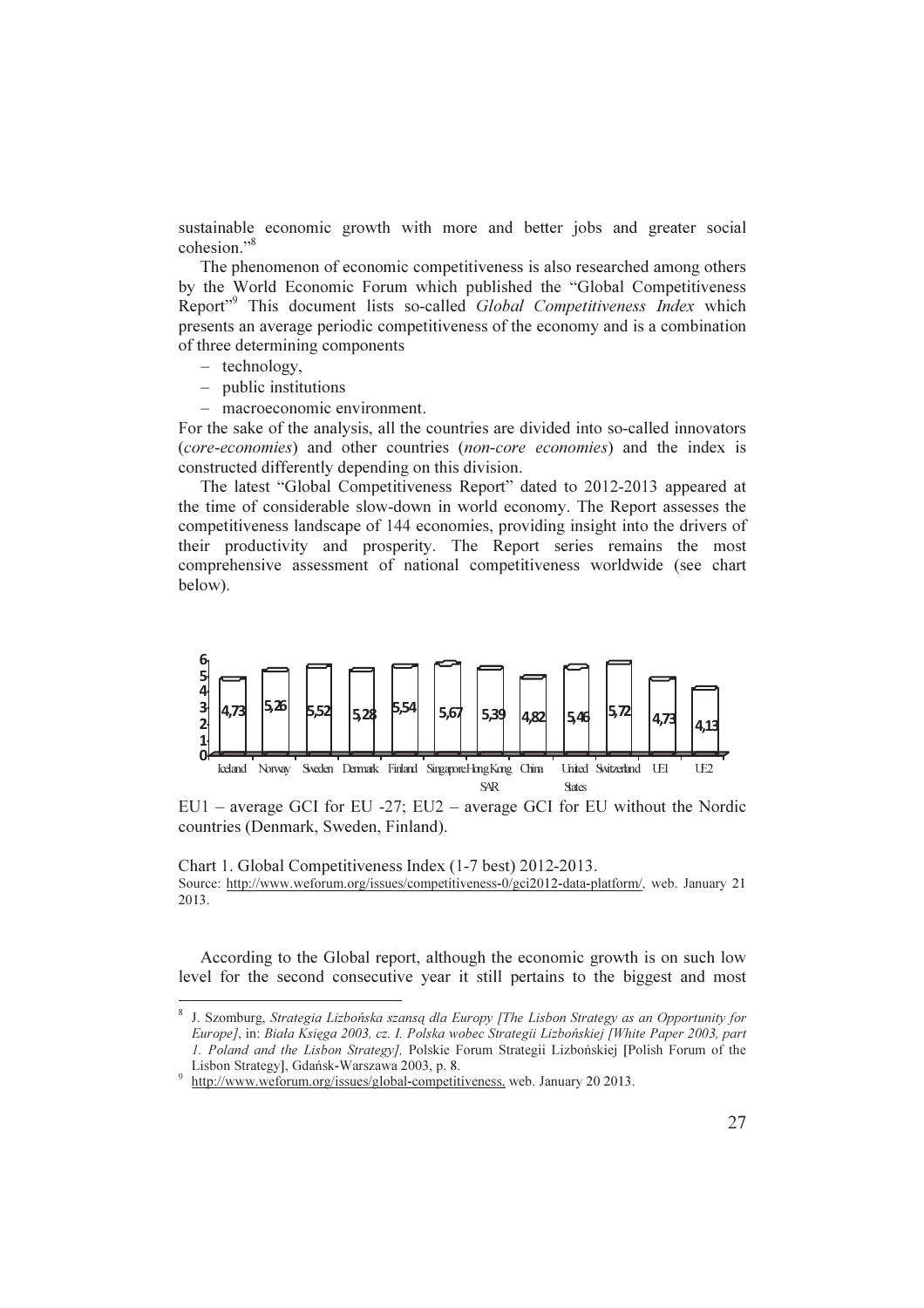sustainable economic growth with more and better jobs and greater social cohesion."<sup>8</sup>

The phenomenon of economic competitiveness is also researched among others by the World Economic Forum which published the "Global Competitiveness Report<sup>"9</sup> This document lists so-called *Global Competitiveness Index* which presents an average periodic competitiveness of the economy and is a combination of three determining components

− technology,

 $\overline{a}$ 

- − public institutions
- − macroeconomic environment.

For the sake of the analysis, all the countries are divided into so-called innovators (core-economies) and other countries (non-core economies) and the index is constructed differently depending on this division.

The latest "Global Competitiveness Report" dated to 2012-2013 appeared at the time of considerable slow-down in world economy. The Report assesses the competitiveness landscape of 144 economies, providing insight into the drivers of their productivity and prosperity. The Report series remains the most comprehensive assessment of national competitiveness worldwide (see chart below).



EU1 – average GCI for EU -27; EU2 – average GCI for EU without the Nordic countries (Denmark, Sweden, Finland).

Chart 1. Global Competitiveness Index (1-7 best) 2012-2013. Source: http://www.weforum.org/issues/competitiveness-0/gci2012-data-platform/, web. January 21 2013.

According to the Global report, although the economic growth is on such low level for the second consecutive year it still pertains to the biggest and most

<sup>&</sup>lt;sup>8</sup> J. Szomburg, *Strategia Lizbońska szansą dla Europy [The Lisbon Strategy as an Opportunity for* Europe], in: Biała Księga 2003, cz. I. Polska wobec Strategii Lizbońskiej [White Paper 2003, part 1. Poland and the Lisbon Strategy], Polskie Forum Strategii Lizbońskiej [Polish Forum of the Lisbon Strategy], Gdańsk-Warszawa 2003, p. 8.

 $\overline{9}$ http://www.weforum.org/issues/global-competitiveness, web. January 20 2013.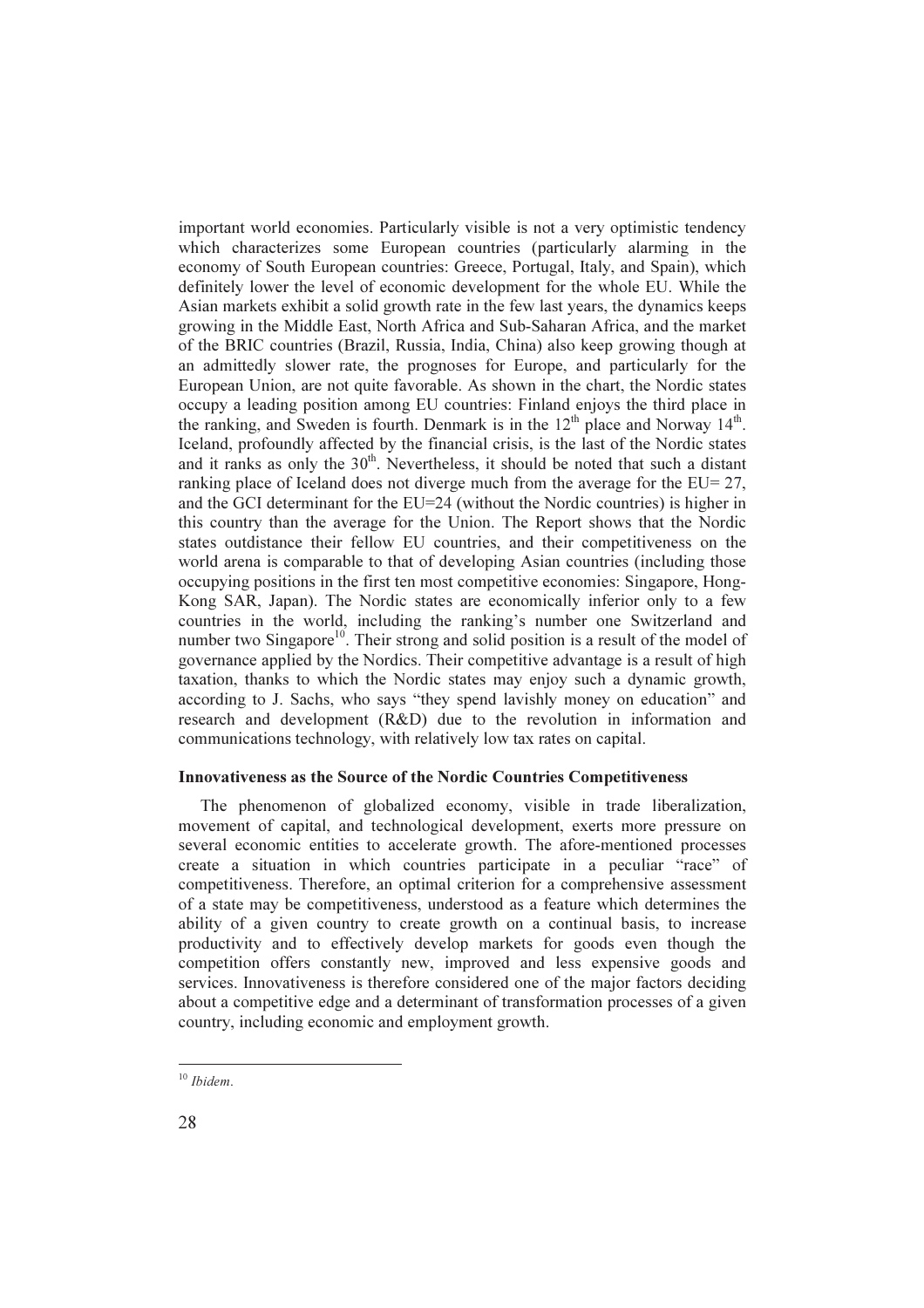important world economies. Particularly visible is not a very optimistic tendency which characterizes some European countries (particularly alarming in the economy of South European countries: Greece, Portugal, Italy, and Spain), which definitely lower the level of economic development for the whole EU. While the Asian markets exhibit a solid growth rate in the few last years, the dynamics keeps growing in the Middle East, North Africa and Sub-Saharan Africa, and the market of the BRIC countries (Brazil, Russia, India, China) also keep growing though at an admittedly slower rate, the prognoses for Europe, and particularly for the European Union, are not quite favorable. As shown in the chart, the Nordic states occupy a leading position among EU countries: Finland enjoys the third place in the ranking, and Sweden is fourth. Denmark is in the  $12<sup>th</sup>$  place and Norway  $14<sup>th</sup>$ . Iceland, profoundly affected by the financial crisis, is the last of the Nordic states and it ranks as only the  $30<sup>th</sup>$ . Nevertheless, it should be noted that such a distant ranking place of Iceland does not diverge much from the average for the EU= 27, and the GCI determinant for the EU=24 (without the Nordic countries) is higher in this country than the average for the Union. The Report shows that the Nordic states outdistance their fellow EU countries, and their competitiveness on the world arena is comparable to that of developing Asian countries (including those occupying positions in the first ten most competitive economies: Singapore, Hong-Kong SAR, Japan). The Nordic states are economically inferior only to a few countries in the world, including the ranking's number one Switzerland and number two Singapore<sup>10</sup>. Their strong and solid position is a result of the model of governance applied by the Nordics. Their competitive advantage is a result of high taxation, thanks to which the Nordic states may enjoy such a dynamic growth, according to J. Sachs, who says "they spend lavishly money on education" and research and development (R&D) due to the revolution in information and communications technology, with relatively low tax rates on capital.

## Innovativeness as the Source of the Nordic Countries Competitiveness

The phenomenon of globalized economy, visible in trade liberalization, movement of capital, and technological development, exerts more pressure on several economic entities to accelerate growth. The afore-mentioned processes create a situation in which countries participate in a peculiar "race" of competitiveness. Therefore, an optimal criterion for a comprehensive assessment of a state may be competitiveness, understood as a feature which determines the ability of a given country to create growth on a continual basis, to increase productivity and to effectively develop markets for goods even though the competition offers constantly new, improved and less expensive goods and services. Innovativeness is therefore considered one of the major factors deciding about a competitive edge and a determinant of transformation processes of a given country, including economic and employment growth.

<sup>&</sup>lt;sup>10</sup> Ibidem.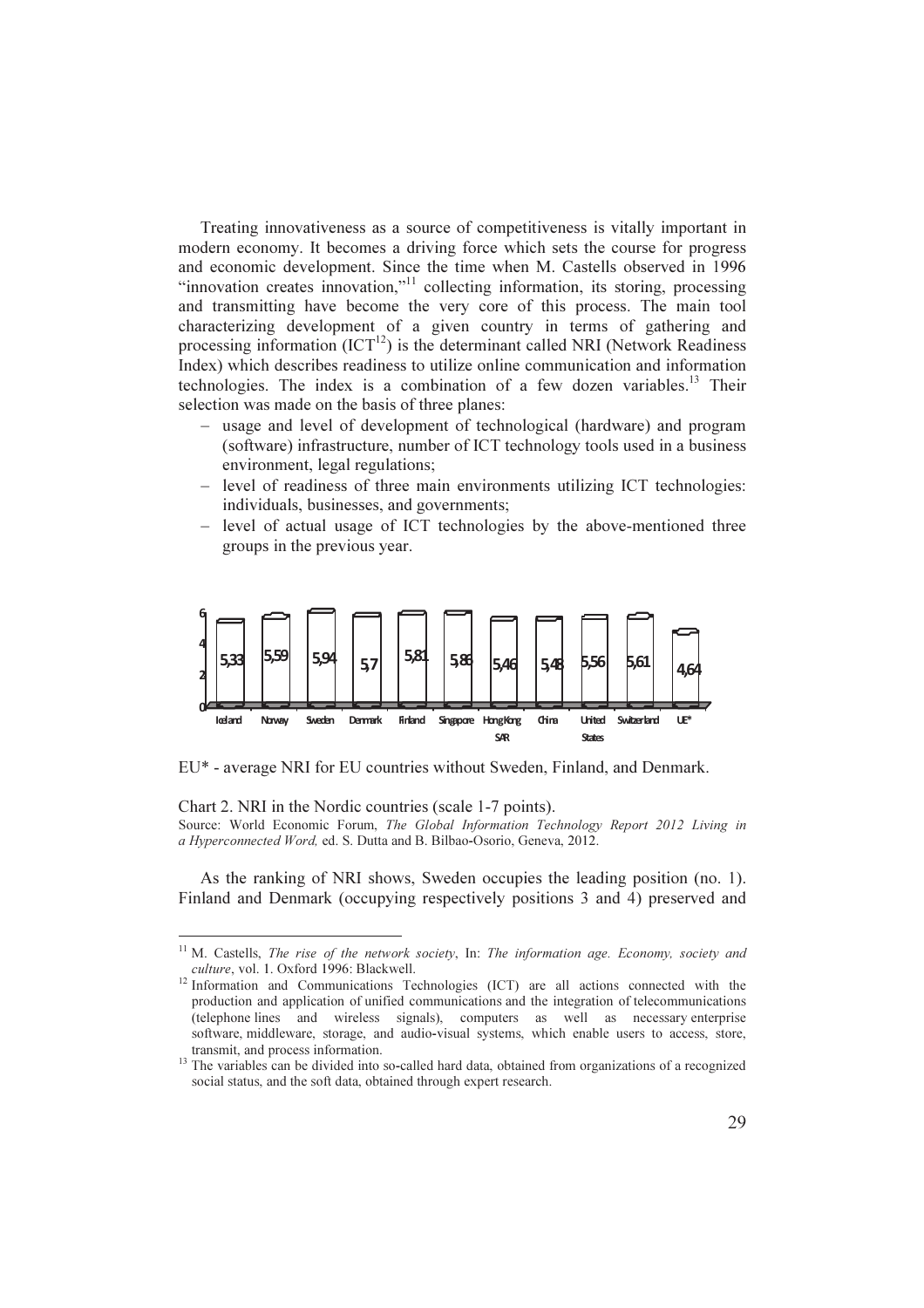Treating innovativeness as a source of competitiveness is vitally important in modern economy. It becomes a driving force which sets the course for progress and economic development. Since the time when M. Castells observed in 1996 "innovation creates innovation,"<sup>11</sup> collecting information, its storing, processing and transmitting have become the very core of this process. The main tool characterizing development of a given country in terms of gathering and processing information  $(ICT<sup>12</sup>)$  is the determinant called NRI (Network Readiness Index) which describes readiness to utilize online communication and information technologies. The index is a combination of a few dozen variables. $13$  Their selection was made on the basis of three planes:

- − usage and level of development of technological (hardware) and program (software) infrastructure, number of ICT technology tools used in a business environment, legal regulations;
- − level of readiness of three main environments utilizing ICT technologies: individuals, businesses, and governments;
- − level of actual usage of ICT technologies by the above-mentioned three groups in the previous year.



EU\* - average NRI for EU countries without Sweden, Finland, and Denmark.

Chart 2. NRI in the Nordic countries (scale 1-7 points).

l.

Source: World Economic Forum, The Global Information Technology Report 2012 Living in a Hyperconnected Word, ed. S. Dutta and B. Bilbao-Osorio, Geneva, 2012.

As the ranking of NRI shows, Sweden occupies the leading position (no. 1). Finland and Denmark (occupying respectively positions 3 and 4) preserved and

 $11$  M. Castells, The rise of the network society, In: The information age. Economy, society and culture, vol. 1. Oxford 1996: Blackwell.

<sup>&</sup>lt;sup>12</sup> Information and Communications Technologies (ICT) are all actions connected with the production and application of unified communications and the integration of telecommunications (telephone lines and wireless signals), computers as well as necessary enterprise software, middleware, storage, and audio-visual systems, which enable users to access, store, transmit, and process information.

<sup>&</sup>lt;sup>13</sup> The variables can be divided into so-called hard data, obtained from organizations of a recognized social status, and the soft data, obtained through expert research.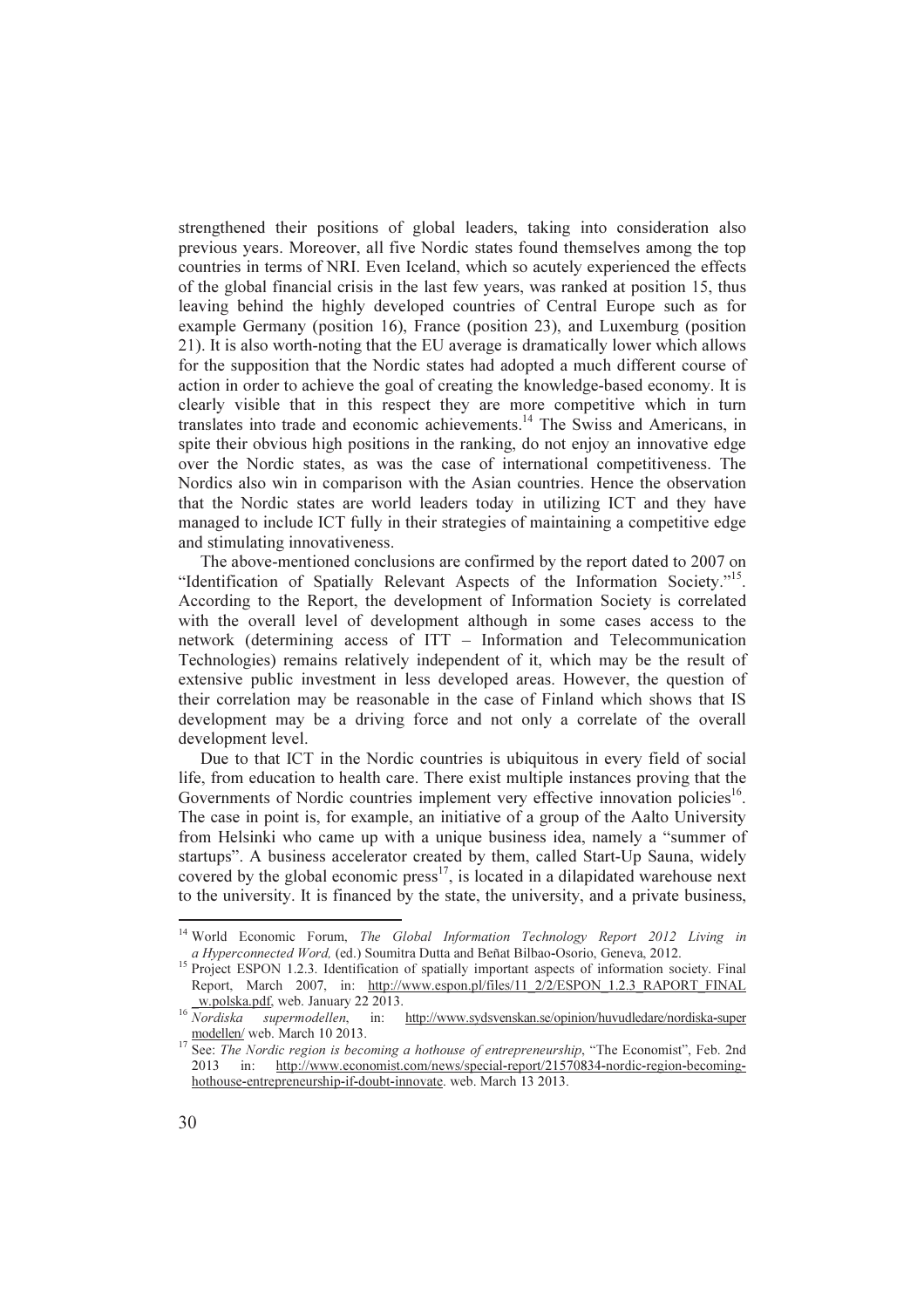strengthened their positions of global leaders, taking into consideration also previous years. Moreover, all five Nordic states found themselves among the top countries in terms of NRI. Even Iceland, which so acutely experienced the effects of the global financial crisis in the last few years, was ranked at position 15, thus leaving behind the highly developed countries of Central Europe such as for example Germany (position 16), France (position 23), and Luxemburg (position 21). It is also worth-noting that the EU average is dramatically lower which allows for the supposition that the Nordic states had adopted a much different course of action in order to achieve the goal of creating the knowledge-based economy. It is clearly visible that in this respect they are more competitive which in turn translates into trade and economic achievements.<sup>14</sup> The Swiss and Americans, in spite their obvious high positions in the ranking, do not enjoy an innovative edge over the Nordic states, as was the case of international competitiveness. The Nordics also win in comparison with the Asian countries. Hence the observation that the Nordic states are world leaders today in utilizing ICT and they have managed to include ICT fully in their strategies of maintaining a competitive edge and stimulating innovativeness.

The above-mentioned conclusions are confirmed by the report dated to 2007 on "Identification of Spatially Relevant Aspects of the Information Society."<sup>15</sup>. According to the Report, the development of Information Society is correlated with the overall level of development although in some cases access to the network (determining access of ITT – Information and Telecommunication Technologies) remains relatively independent of it, which may be the result of extensive public investment in less developed areas. However, the question of their correlation may be reasonable in the case of Finland which shows that IS development may be a driving force and not only a correlate of the overall development level.

Due to that ICT in the Nordic countries is ubiquitous in every field of social life, from education to health care. There exist multiple instances proving that the Governments of Nordic countries implement very effective innovation policies<sup>16</sup>. The case in point is, for example, an initiative of a group of the Aalto University from Helsinki who came up with a unique business idea, namely a "summer of startups". A business accelerator created by them, called Start-Up Sauna, widely covered by the global economic press<sup>17</sup>, is located in a dilapidated warehouse next to the university. It is financed by the state, the university, and a private business,  $\overline{a}$ 

<sup>&</sup>lt;sup>14</sup> World Economic Forum, The Global Information Technology Report 2012 Living in a Hyperconnected Word, (ed.) Soumitra Dutta and Beñat Bilbao-Osorio, Geneva, 2012.

<sup>&</sup>lt;sup>15</sup> Project ESPON 1.2.3. Identification of spatially important aspects of information society. Final Report, March 2007, in: http://www.espon.pl/files/11\_2/2/ESPON\_1.2.3\_RAPORT\_FINAL \_w.polska.pdf, web. January 22 2013.

 $\frac{16}{Nordiska}$  supermodellen, in: http://www.sydsvenskan.se/opinion/huvudledare/nordiska-super modellen/ web. March 10 2013.

<sup>&</sup>lt;sup>17</sup> See: *The Nordic region is becoming a hothouse of entrepreneurship*, "The Economist", Feb. 2nd 2013 in: http://www.economist.com/news/special-report/21570834-nordic-region-becominghothouse-entrepreneurship-if-doubt-innovate. web. March 13 2013.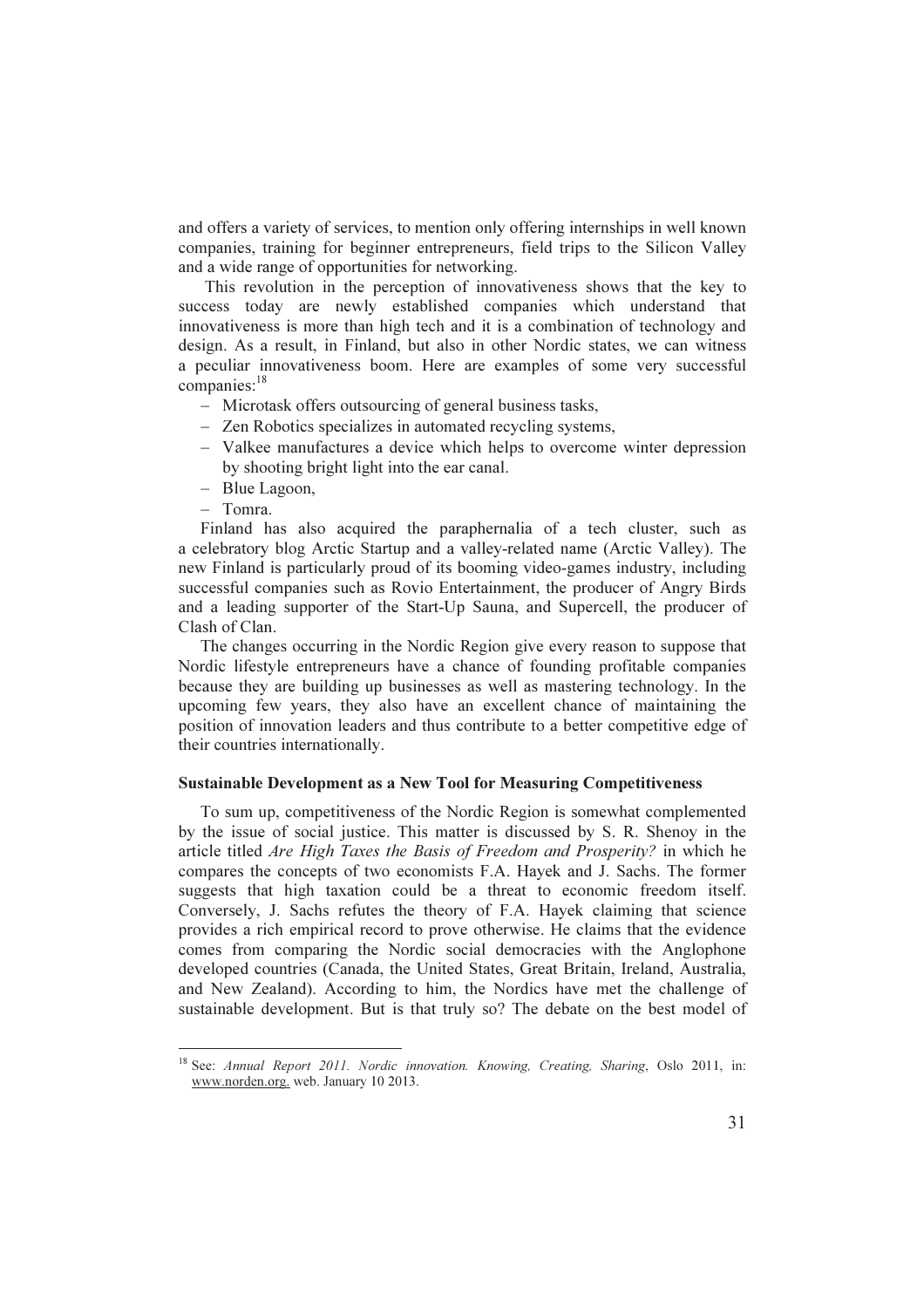and offers a variety of services, to mention only offering internships in well known companies, training for beginner entrepreneurs, field trips to the Silicon Valley and a wide range of opportunities for networking.

This revolution in the perception of innovativeness shows that the key to success today are newly established companies which understand that innovativeness is more than high tech and it is a combination of technology and design. As a result, in Finland, but also in other Nordic states, we can witness a peculiar innovativeness boom. Here are examples of some very successful  $companies:<sup>18</sup>$ 

- − Microtask offers outsourcing of general business tasks,
- − Zen Robotics specializes in automated recycling systems,
- − Valkee manufactures a device which helps to overcome winter depression by shooting bright light into the ear canal.
- − Blue Lagoon,
- − Tomra.

 $\overline{a}$ 

Finland has also acquired the paraphernalia of a tech cluster, such as a celebratory blog Arctic Startup and a valley-related name (Arctic Valley). The new Finland is particularly proud of its booming video-games industry, including successful companies such as Rovio Entertainment, the producer of Angry Birds and a leading supporter of the Start-Up Sauna, and Supercell, the producer of Clash of Clan.

The changes occurring in the Nordic Region give every reason to suppose that Nordic lifestyle entrepreneurs have a chance of founding profitable companies because they are building up businesses as well as mastering technology. In the upcoming few years, they also have an excellent chance of maintaining the position of innovation leaders and thus contribute to a better competitive edge of their countries internationally.

#### Sustainable Development as a New Tool for Measuring Competitiveness

To sum up, competitiveness of the Nordic Region is somewhat complemented by the issue of social justice. This matter is discussed by S. R. Shenoy in the article titled Are High Taxes the Basis of Freedom and Prosperity? in which he compares the concepts of two economists F.A. Hayek and J. Sachs. The former suggests that high taxation could be a threat to economic freedom itself. Conversely, J. Sachs refutes the theory of F.A. Hayek claiming that science provides a rich empirical record to prove otherwise. He claims that the evidence comes from comparing the Nordic social democracies with the Anglophone developed countries (Canada, the United States, Great Britain, Ireland, Australia, and New Zealand). According to him, the Nordics have met the challenge of sustainable development. But is that truly so? The debate on the best model of

<sup>&</sup>lt;sup>18</sup> See: Annual Report 2011. Nordic innovation. Knowing, Creating, Sharing, Oslo 2011, in: www.norden.org. web. January 10 2013.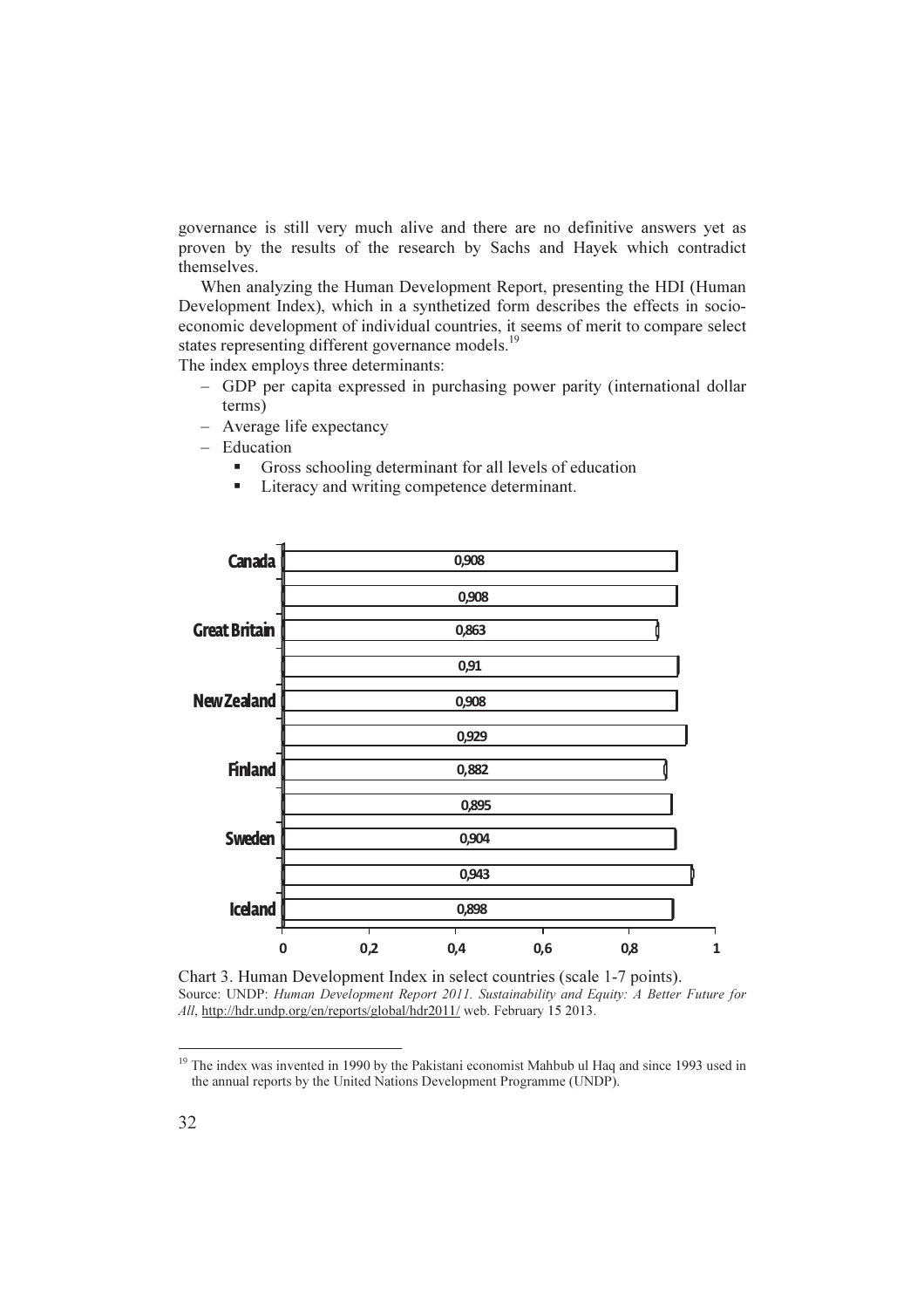governance is still very much alive and there are no definitive answers yet as proven by the results of the research by Sachs and Hayek which contradict themselves.

When analyzing the Human Development Report, presenting the HDI (Human Development Index), which in a synthetized form describes the effects in socioeconomic development of individual countries, it seems of merit to compare select states representing different governance models.<sup>19</sup>

The index employs three determinants:

- − GDP per capita expressed in purchasing power parity (international dollar terms)
- − Average life expectancy
- − Education
	- Gross schooling determinant for all levels of education
	- Literacy and writing competence determinant.



Chart 3. Human Development Index in select countries (scale 1-7 points). Source: UNDP: Human Development Report 2011. Sustainability and Equity: A Better Future for All, http://hdr.undp.org/en/reports/global/hdr2011/ web. February 15 2013.

 $\overline{a}$ 

<sup>&</sup>lt;sup>19</sup> The index was invented in 1990 by the Pakistani economist Mahbub ul Haq and since 1993 used in the annual reports by the United Nations Development Programme (UNDP).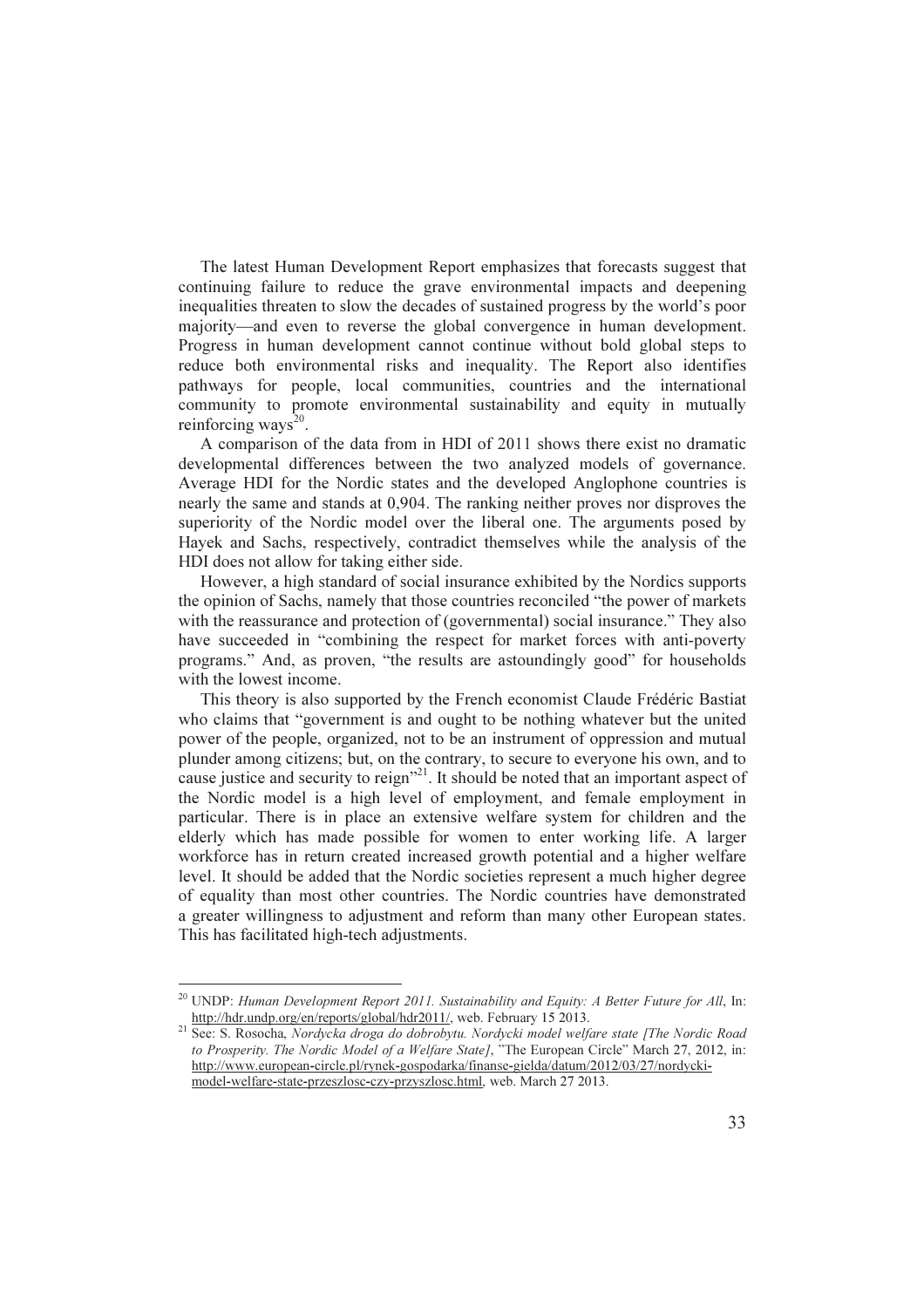The latest Human Development Report emphasizes that forecasts suggest that continuing failure to reduce the grave environmental impacts and deepening inequalities threaten to slow the decades of sustained progress by the world's poor majority—and even to reverse the global convergence in human development. Progress in human development cannot continue without bold global steps to reduce both environmental risks and inequality. The Report also identifies pathways for people, local communities, countries and the international community to promote environmental sustainability and equity in mutually reinforcing ways<sup>20</sup>.

A comparison of the data from in HDI of 2011 shows there exist no dramatic developmental differences between the two analyzed models of governance. Average HDI for the Nordic states and the developed Anglophone countries is nearly the same and stands at 0,904. The ranking neither proves nor disproves the superiority of the Nordic model over the liberal one. The arguments posed by Hayek and Sachs, respectively, contradict themselves while the analysis of the HDI does not allow for taking either side.

However, a high standard of social insurance exhibited by the Nordics supports the opinion of Sachs, namely that those countries reconciled "the power of markets with the reassurance and protection of (governmental) social insurance." They also have succeeded in "combining the respect for market forces with anti-poverty programs." And, as proven, "the results are astoundingly good" for households with the lowest income.

This theory is also supported by the French economist Claude Frédéric Bastiat who claims that "government is and ought to be nothing whatever but the united power of the people, organized, not to be an instrument of oppression and mutual plunder among citizens; but, on the contrary, to secure to everyone his own, and to cause justice and security to reign"<sup>21</sup>. It should be noted that an important aspect of the Nordic model is a high level of employment, and female employment in particular. There is in place an extensive welfare system for children and the elderly which has made possible for women to enter working life. A larger workforce has in return created increased growth potential and a higher welfare level. It should be added that the Nordic societies represent a much higher degree of equality than most other countries. The Nordic countries have demonstrated a greater willingness to adjustment and reform than many other European states. This has facilitated high-tech adjustments.

 $20$  UNDP: Human Development Report 2011. Sustainability and Equity: A Better Future for All, In: http://hdr.undp.org/en/reports/global/hdr2011/, web. February 15 2013.

<sup>&</sup>lt;sup>21</sup> See: S. Rosocha, Nordycka droga do dobrobytu. Nordycki model welfare state [The Nordic Road to Prosperity. The Nordic Model of a Welfare State], "The European Circle" March 27, 2012, in: http://www.european-circle.pl/rynek-gospodarka/finanse-gielda/datum/2012/03/27/nordyckimodel-welfare-state-przeszlosc-czy-przyszlosc.html, web. March 27 2013.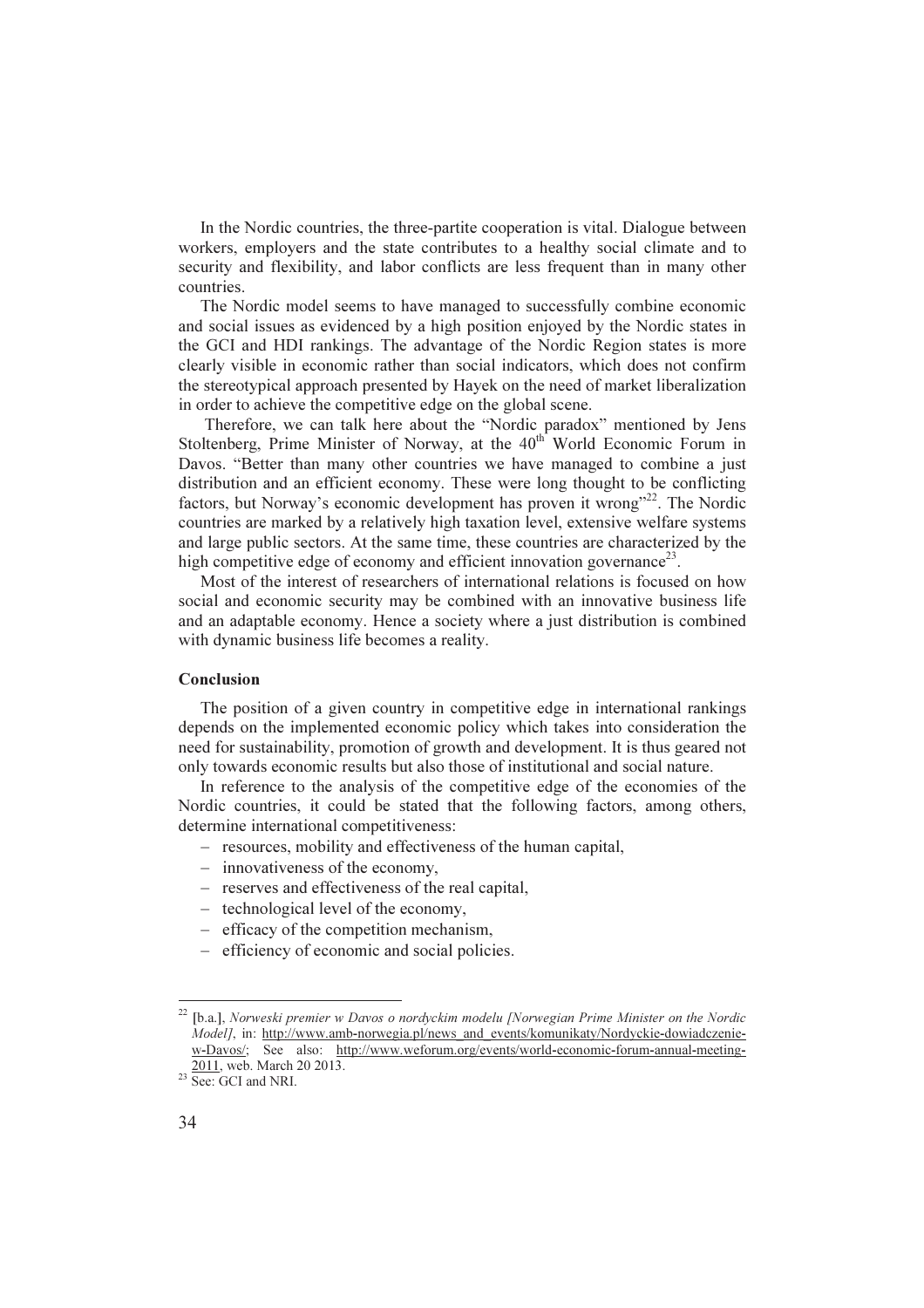In the Nordic countries, the three-partite cooperation is vital. Dialogue between workers, employers and the state contributes to a healthy social climate and to security and flexibility, and labor conflicts are less frequent than in many other countries.

The Nordic model seems to have managed to successfully combine economic and social issues as evidenced by a high position enjoyed by the Nordic states in the GCI and HDI rankings. The advantage of the Nordic Region states is more clearly visible in economic rather than social indicators, which does not confirm the stereotypical approach presented by Hayek on the need of market liberalization in order to achieve the competitive edge on the global scene.

 Therefore, we can talk here about the "Nordic paradox" mentioned by Jens Stoltenberg, Prime Minister of Norway, at the 40<sup>th</sup> World Economic Forum in Davos. "Better than many other countries we have managed to combine a just distribution and an efficient economy. These were long thought to be conflicting factors, but Norway's economic development has proven it wrong"<sup>22</sup>. The Nordic countries are marked by a relatively high taxation level, extensive welfare systems and large public sectors. At the same time, these countries are characterized by the high competitive edge of economy and efficient innovation governance<sup>23</sup>.

Most of the interest of researchers of international relations is focused on how social and economic security may be combined with an innovative business life and an adaptable economy. Hence a society where a just distribution is combined with dynamic business life becomes a reality.

#### Conclusion

The position of a given country in competitive edge in international rankings depends on the implemented economic policy which takes into consideration the need for sustainability, promotion of growth and development. It is thus geared not only towards economic results but also those of institutional and social nature.

In reference to the analysis of the competitive edge of the economies of the Nordic countries, it could be stated that the following factors, among others, determine international competitiveness:

- − resources, mobility and effectiveness of the human capital,
- − innovativeness of the economy,
- − reserves and effectiveness of the real capital,
- − technological level of the economy,
- − efficacy of the competition mechanism,
- − efficiency of economic and social policies.

 $\overline{a}$ 

 $22$  [b.a.], Norweski premier w Davos o nordyckim modelu [Norwegian Prime Minister on the Nordic Modell, in: http://www.amb-norwegia.pl/news\_and\_events/komunikaty/Nordyckie-dowiadczeniew-Davos/; See also: http://www.weforum.org/events/world-economic-forum-annual-meeting-2011, web. March 20 2013.

 $23 \overline{\text{See: } GCI}$  and NRI.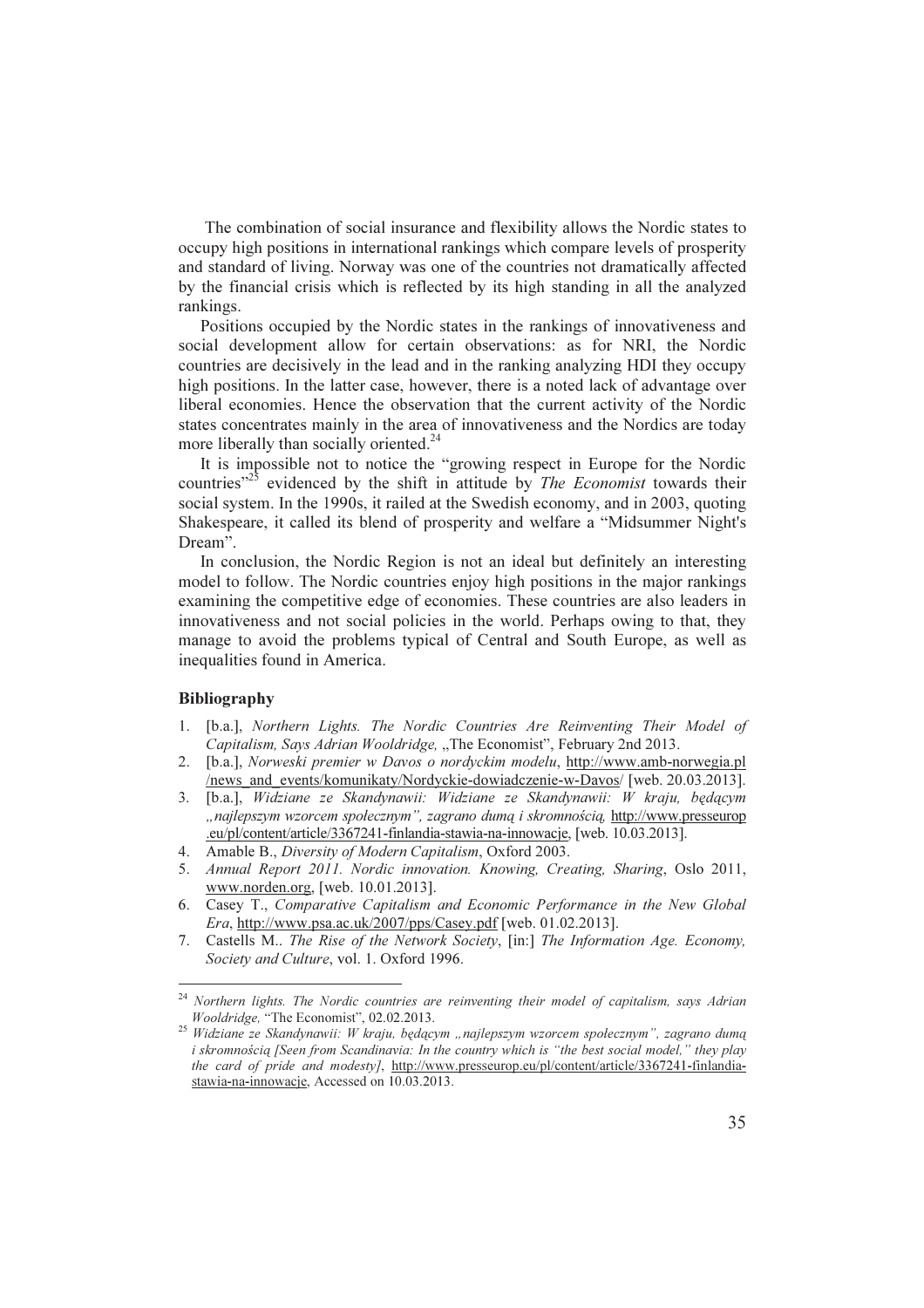The combination of social insurance and flexibility allows the Nordic states to occupy high positions in international rankings which compare levels of prosperity and standard of living. Norway was one of the countries not dramatically affected by the financial crisis which is reflected by its high standing in all the analyzed rankings.

Positions occupied by the Nordic states in the rankings of innovativeness and social development allow for certain observations: as for NRI, the Nordic countries are decisively in the lead and in the ranking analyzing HDI they occupy high positions. In the latter case, however, there is a noted lack of advantage over liberal economies. Hence the observation that the current activity of the Nordic states concentrates mainly in the area of innovativeness and the Nordics are today more liberally than socially oriented.<sup>24</sup>

It is impossible not to notice the "growing respect in Europe for the Nordic countries $v^{25}$  evidenced by the shift in attitude by *The Economist* towards their social system. In the 1990s, it railed at the Swedish economy, and in 2003, quoting Shakespeare, it called its blend of prosperity and welfare a "Midsummer Night's Dream".

In conclusion, the Nordic Region is not an ideal but definitely an interesting model to follow. The Nordic countries enjoy high positions in the major rankings examining the competitive edge of economies. These countries are also leaders in innovativeness and not social policies in the world. Perhaps owing to that, they manage to avoid the problems typical of Central and South Europe, as well as inequalities found in America.

## Bibliography

- 1. [b.a.], Northern Lights. The Nordic Countries Are Reinventing Their Model of Capitalism, Says Adrian Wooldridge, "The Economist", February 2nd 2013.
- 2. [b.a.], Norweski premier w Davos o nordyckim modelu, http://www.amb-norwegia.pl /news\_and\_events/komunikaty/Nordyckie-dowiadczenie-w-Davos/ [web. 20.03.2013].
- 3. [b.a.], Widziane ze Skandynawii: Widziane ze Skandynawii: W kraju, będącym "najlepszym wzorcem społecznym", zagrano dumą i skromnością, http://www.presseurop .eu/pl/content/article/3367241-finlandia-stawia-na-innowacje, [web. 10.03.2013].
- 4. Amable B., Diversity of Modern Capitalism, Oxford 2003.
- 5. Annual Report 2011. Nordic innovation. Knowing, Creating, Sharing, Oslo 2011, www.norden.org, [web. 10.01.2013].
- 6. Casey T., Comparative Capitalism and Economic Performance in the New Global Era, http://www.psa.ac.uk/2007/pps/Casey.pdf [web. 01.02.2013].
- 7. Castells M.. The Rise of the Network Society, [in:] The Information Age. Economy, Society and Culture, vol. 1. Oxford 1996.

 $24$  Northern lights. The Nordic countries are reinventing their model of capitalism, says Adrian Wooldridge, "The Economist", 02.02.2013.

<sup>&</sup>lt;sup>25</sup> Widziane ze Skandynawii: W kraju, będącym "najlepszym wzorcem społecznym", zagrano dumą i skromnością [Seen from Scandinavia: In the country which is "the best social model," they play the card of pride and modesty], http://www.presseurop.eu/pl/content/article/3367241-finlandiastawia-na-innowacje, Accessed on 10.03.2013.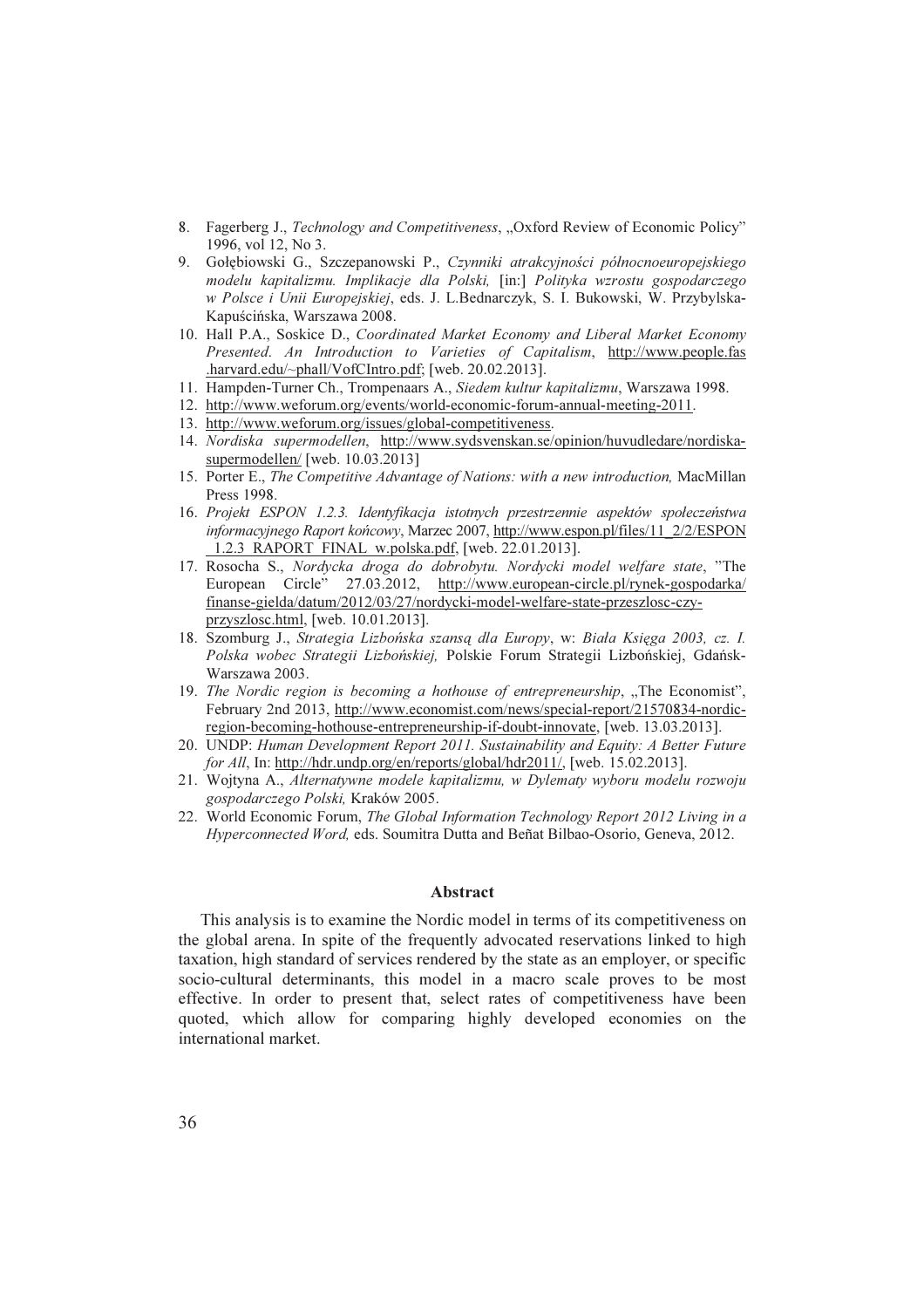- 8. Fagerberg J., Technology and Competitiveness, "Oxford Review of Economic Policy" 1996, vol 12, No 3.
- 9. Gołębiowski G., Szczepanowski P., Czynniki atrakcyjności północnoeuropejskiego modelu kapitalizmu. Implikacje dla Polski, [in:] Polityka wzrostu gospodarczego w Polsce i Unii Europejskiej, eds. J. L.Bednarczyk, S. I. Bukowski, W. Przybylska-Kapuścińska, Warszawa 2008.
- 10. Hall P.A., Soskice D., Coordinated Market Economy and Liberal Market Economy Presented. An Introduction to Varieties of Capitalism, http://www.people.fas .harvard.edu/~phall/VofCIntro.pdf; [web. 20.02.2013].
- 11. Hampden-Turner Ch., Trompenaars A., Siedem kultur kapitalizmu, Warszawa 1998.
- 12. http://www.weforum.org/events/world-economic-forum-annual-meeting-2011.
- 13. http://www.weforum.org/issues/global-competitiveness.
- 14. Nordiska supermodellen, http://www.sydsvenskan.se/opinion/huvudledare/nordiskasupermodellen/ [web. 10.03.2013]
- 15. Porter E., The Competitive Advantage of Nations: with a new introduction, MacMillan Press 1998.
- 16. Projekt ESPON 1.2.3. Identyfikacja istotnych przestrzennie aspektów społeczeństwa informacyjnego Raport końcowy, Marzec 2007, http://www.espon.pl/files/11\_2/2/ESPON \_1.2.3\_RAPORT\_FINAL\_w.polska.pdf, [web. 22.01.2013].
- 17. Rosocha S., Nordycka droga do dobrobytu. Nordycki model welfare state, "The European Circle" 27.03.2012, http://www.european-circle.pl/rynek-gospodarka/ finanse-gielda/datum/2012/03/27/nordycki-model-welfare-state-przeszlosc-czyprzyszlosc.html, [web. 10.01.2013].
- 18. Szomburg J., Strategia Lizbońska szansą dla Europy, w: Biała Księga 2003, cz. I. Polska wobec Strategii Lizbońskiej, Polskie Forum Strategii Lizbońskiej, Gdańsk-Warszawa 2003.
- 19. The Nordic region is becoming a hothouse of entrepreneurship,  $\pi$ The Economist", February 2nd 2013, http://www.economist.com/news/special-report/21570834-nordicregion-becoming-hothouse-entrepreneurship-if-doubt-innovate, [web. 13.03.2013].
- 20. UNDP: Human Development Report 2011. Sustainability and Equity: A Better Future for All, In: http://hdr.undp.org/en/reports/global/hdr2011/, [web. 15.02.2013].
- 21. Wojtyna A., Alternatywne modele kapitalizmu, w Dylematy wyboru modelu rozwoju gospodarczego Polski, Kraków 2005.
- 22. World Economic Forum, The Global Information Technology Report 2012 Living in a Hyperconnected Word, eds. Soumitra Dutta and Beñat Bilbao-Osorio, Geneva, 2012.

## Abstract

This analysis is to examine the Nordic model in terms of its competitiveness on the global arena. In spite of the frequently advocated reservations linked to high taxation, high standard of services rendered by the state as an employer, or specific socio-cultural determinants, this model in a macro scale proves to be most effective. In order to present that, select rates of competitiveness have been quoted, which allow for comparing highly developed economies on the international market.